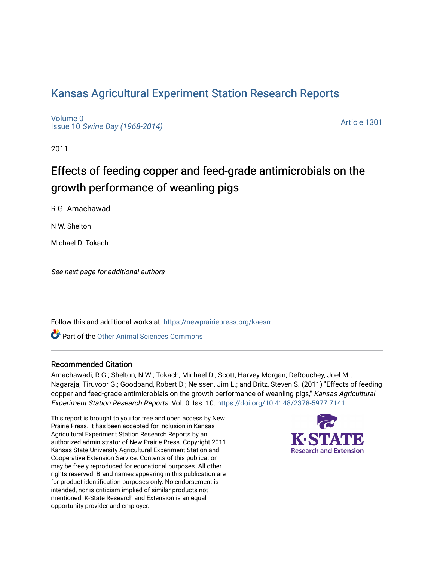## [Kansas Agricultural Experiment Station Research Reports](https://newprairiepress.org/kaesrr)

[Volume 0](https://newprairiepress.org/kaesrr/vol0) Issue 10 [Swine Day \(1968-2014\)](https://newprairiepress.org/kaesrr/vol0/iss10)

[Article 1301](https://newprairiepress.org/kaesrr/vol0/iss10/1301) 

2011

# Effects of feeding copper and feed-grade antimicrobials on the growth performance of weanling pigs

R G. Amachawadi

N W. Shelton

Michael D. Tokach

See next page for additional authors

Follow this and additional works at: [https://newprairiepress.org/kaesrr](https://newprairiepress.org/kaesrr?utm_source=newprairiepress.org%2Fkaesrr%2Fvol0%2Fiss10%2F1301&utm_medium=PDF&utm_campaign=PDFCoverPages) 

Part of the [Other Animal Sciences Commons](http://network.bepress.com/hgg/discipline/82?utm_source=newprairiepress.org%2Fkaesrr%2Fvol0%2Fiss10%2F1301&utm_medium=PDF&utm_campaign=PDFCoverPages)

### Recommended Citation

Amachawadi, R G.; Shelton, N W.; Tokach, Michael D.; Scott, Harvey Morgan; DeRouchey, Joel M.; Nagaraja, Tiruvoor G.; Goodband, Robert D.; Nelssen, Jim L.; and Dritz, Steven S. (2011) "Effects of feeding copper and feed-grade antimicrobials on the growth performance of weanling pigs," Kansas Agricultural Experiment Station Research Reports: Vol. 0: Iss. 10. <https://doi.org/10.4148/2378-5977.7141>

This report is brought to you for free and open access by New Prairie Press. It has been accepted for inclusion in Kansas Agricultural Experiment Station Research Reports by an authorized administrator of New Prairie Press. Copyright 2011 Kansas State University Agricultural Experiment Station and Cooperative Extension Service. Contents of this publication may be freely reproduced for educational purposes. All other rights reserved. Brand names appearing in this publication are for product identification purposes only. No endorsement is intended, nor is criticism implied of similar products not mentioned. K-State Research and Extension is an equal opportunity provider and employer.

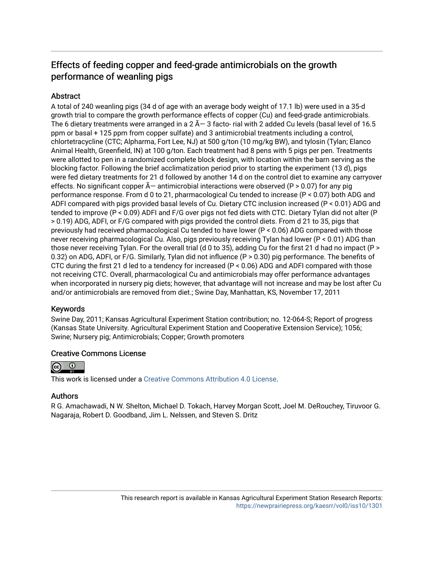## Effects of feeding copper and feed-grade antimicrobials on the growth performance of weanling pigs

### **Abstract**

A total of 240 weanling pigs (34 d of age with an average body weight of 17.1 lb) were used in a 35-d growth trial to compare the growth performance effects of copper (Cu) and feed-grade antimicrobials. The 6 dietary treatments were arranged in a  $2 \tilde{A}$  – 3 facto- rial with 2 added Cu levels (basal level of 16.5 ppm or basal + 125 ppm from copper sulfate) and 3 antimicrobial treatments including a control, chlortetracycline (CTC; Alpharma, Fort Lee, NJ) at 500 g/ton (10 mg/kg BW), and tylosin (Tylan; Elanco Animal Health, Greenfield, IN) at 100 g/ton. Each treatment had 8 pens with 5 pigs per pen. Treatments were allotted to pen in a randomized complete block design, with location within the barn serving as the blocking factor. Following the brief acclimatization period prior to starting the experiment (13 d), pigs were fed dietary treatments for 21 d followed by another 14 d on the control diet to examine any carryover effects. No significant copper  $\tilde{A}$  antimicrobial interactions were observed (P > 0.07) for any pig performance response. From d 0 to 21, pharmacological Cu tended to increase (P < 0.07) both ADG and ADFI compared with pigs provided basal levels of Cu. Dietary CTC inclusion increased (P < 0.01) ADG and tended to improve (P < 0.09) ADFI and F/G over pigs not fed diets with CTC. Dietary Tylan did not alter (P > 0.19) ADG, ADFI, or F/G compared with pigs provided the control diets. From d 21 to 35, pigs that previously had received pharmacological Cu tended to have lower (P < 0.06) ADG compared with those never receiving pharmacological Cu. Also, pigs previously receiving Tylan had lower (P < 0.01) ADG than those never receiving Tylan. For the overall trial (d 0 to 35), adding Cu for the first 21 d had no impact (P > 0.32) on ADG, ADFI, or F/G. Similarly, Tylan did not influence (P > 0.30) pig performance. The benefits of CTC during the first 21 d led to a tendency for increased (P < 0.06) ADG and ADFI compared with those not receiving CTC. Overall, pharmacological Cu and antimicrobials may offer performance advantages when incorporated in nursery pig diets; however, that advantage will not increase and may be lost after Cu and/or antimicrobials are removed from diet.; Swine Day, Manhattan, KS, November 17, 2011

### Keywords

Swine Day, 2011; Kansas Agricultural Experiment Station contribution; no. 12-064-S; Report of progress (Kansas State University. Agricultural Experiment Station and Cooperative Extension Service); 1056; Swine; Nursery pig; Antimicrobials; Copper; Growth promoters

### Creative Commons License



This work is licensed under a [Creative Commons Attribution 4.0 License](https://creativecommons.org/licenses/by/4.0/).

### Authors

R G. Amachawadi, N W. Shelton, Michael D. Tokach, Harvey Morgan Scott, Joel M. DeRouchey, Tiruvoor G. Nagaraja, Robert D. Goodband, Jim L. Nelssen, and Steven S. Dritz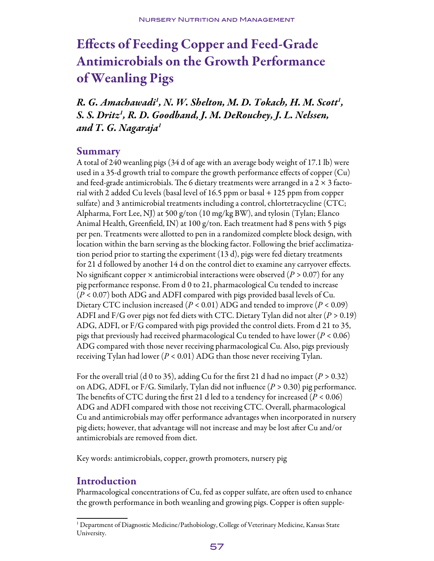# Effects of Feeding Copper and Feed-Grade Antimicrobials on the Growth Performance of Weanling Pigs

*R. G. Amachawadi1 , N. W. Shelton, M. D. Tokach, H. M. Scott1 , S. S. Dritz1 , R. D. Goodband, J. M. DeRouchey, J. L. Nelssen, and T. G. Nagaraja1*

### Summary

A total of 240 weanling pigs (34 d of age with an average body weight of 17.1 lb) were used in a 35-d growth trial to compare the growth performance effects of copper (Cu) and feed-grade antimicrobials. The 6 dietary treatments were arranged in a 2  $\times$  3 factorial with 2 added Cu levels (basal level of 16.5 ppm or basal + 125 ppm from copper sulfate) and 3 antimicrobial treatments including a control, chlortetracycline (CTC; Alpharma, Fort Lee, NJ) at 500 g/ton (10 mg/kg BW), and tylosin (Tylan; Elanco Animal Health, Greenfield, IN) at 100 g/ton. Each treatment had 8 pens with 5 pigs per pen. Treatments were allotted to pen in a randomized complete block design, with location within the barn serving as the blocking factor. Following the brief acclimatization period prior to starting the experiment (13 d), pigs were fed dietary treatments for 21 d followed by another 14 d on the control diet to examine any carryover effects. No significant copper × antimicrobial interactions were observed (*P >* 0.07) for any pig performance response. From d 0 to 21, pharmacological Cu tended to increase (*P <* 0.07) both ADG and ADFI compared with pigs provided basal levels of Cu. Dietary CTC inclusion increased (*P <* 0.01) ADG and tended to improve (*P <* 0.09) ADFI and F/G over pigs not fed diets with CTC. Dietary Tylan did not alter (*P >* 0.19) ADG, ADFI, or F/G compared with pigs provided the control diets. From d 21 to 35, pigs that previously had received pharmacological Cu tended to have lower (*P <* 0.06) ADG compared with those never receiving pharmacological Cu. Also, pigs previously receiving Tylan had lower (*P <* 0.01) ADG than those never receiving Tylan.

For the overall trial (d 0 to 35), adding Cu for the first 21 d had no impact (*P >* 0.32) on ADG, ADFI, or F/G. Similarly, Tylan did not influence (*P >* 0.30) pig performance. The benefits of CTC during the first 21 d led to a tendency for increased (*P <* 0.06) ADG and ADFI compared with those not receiving CTC. Overall, pharmacological Cu and antimicrobials may offer performance advantages when incorporated in nursery pig diets; however, that advantage will not increase and may be lost after Cu and/or antimicrobials are removed from diet.

Key words: antimicrobials, copper, growth promoters, nursery pig

## Introduction

Pharmacological concentrations of Cu, fed as copper sulfate, are often used to enhance the growth performance in both weanling and growing pigs. Copper is often supple-

<sup>&</sup>lt;sup>1</sup> Department of Diagnostic Medicine/Pathobiology, College of Veterinary Medicine, Kansas State University.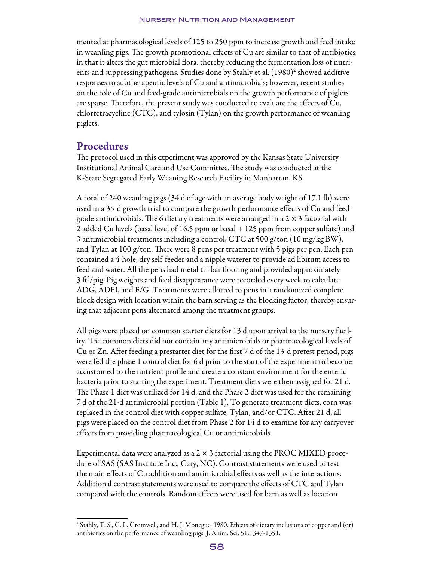mented at pharmacological levels of 125 to 250 ppm to increase growth and feed intake in weanling pigs. The growth promotional effects of Cu are similar to that of antibiotics in that it alters the gut microbial flora, thereby reducing the fermentation loss of nutrients and suppressing pathogens. Studies done by Stahly et al. (1980)<sup>2</sup> showed additive responses to subtherapeutic levels of Cu and antimicrobials; however, recent studies on the role of Cu and feed-grade antimicrobials on the growth performance of piglets are sparse. Therefore, the present study was conducted to evaluate the effects of Cu, chlortetracycline (CTC), and tylosin (Tylan) on the growth performance of weanling piglets.

## Procedures

The protocol used in this experiment was approved by the Kansas State University Institutional Animal Care and Use Committee. The study was conducted at the K-State Segregated Early Weaning Research Facility in Manhattan, KS.

A total of 240 weanling pigs (34 d of age with an average body weight of 17.1 lb) were used in a 35-d growth trial to compare the growth performance effects of Cu and feedgrade antimicrobials. The 6 dietary treatments were arranged in a  $2 \times 3$  factorial with 2 added Cu levels (basal level of 16.5 ppm or basal + 125 ppm from copper sulfate) and 3 antimicrobial treatments including a control, CTC at 500 g/ton (10 mg/kg BW), and Tylan at 100 g/ton. There were 8 pens per treatment with 5 pigs per pen. Each pen contained a 4-hole, dry self-feeder and a nipple waterer to provide ad libitum access to feed and water. All the pens had metal tri-bar flooring and provided approximately  $3$  ft $\frac{2}{\pi}$ ) pig weights and feed disappearance were recorded every week to calculate ADG, ADFI, and F/G. Treatments were allotted to pens in a randomized complete block design with location within the barn serving as the blocking factor, thereby ensuring that adjacent pens alternated among the treatment groups.

All pigs were placed on common starter diets for 13 d upon arrival to the nursery facility. The common diets did not contain any antimicrobials or pharmacological levels of Cu or Zn. After feeding a prestarter diet for the first 7 d of the 13-d pretest period, pigs were fed the phase 1 control diet for 6 d prior to the start of the experiment to become accustomed to the nutrient profile and create a constant environment for the enteric bacteria prior to starting the experiment. Treatment diets were then assigned for 21 d. The Phase 1 diet was utilized for 14 d, and the Phase 2 diet was used for the remaining 7 d of the 21-d antimicrobial portion (Table 1). To generate treatment diets, corn was replaced in the control diet with copper sulfate, Tylan, and/or CTC. After 21 d, all pigs were placed on the control diet from Phase 2 for 14 d to examine for any carryover effects from providing pharmacological Cu or antimicrobials.

Experimental data were analyzed as a  $2 \times 3$  factorial using the PROC MIXED procedure of SAS (SAS Institute Inc., Cary, NC). Contrast statements were used to test the main effects of Cu addition and antimicrobial effects as well as the interactions. Additional contrast statements were used to compare the effects of CTC and Tylan compared with the controls. Random effects were used for barn as well as location

<sup>2</sup> Stahly, T. S., G. L. Cromwell, and H. J. Monegue. 1980. Effects of dietary inclusions of copper and (or) antibiotics on the performance of weanling pigs. J. Anim. Sci. 51:1347-1351.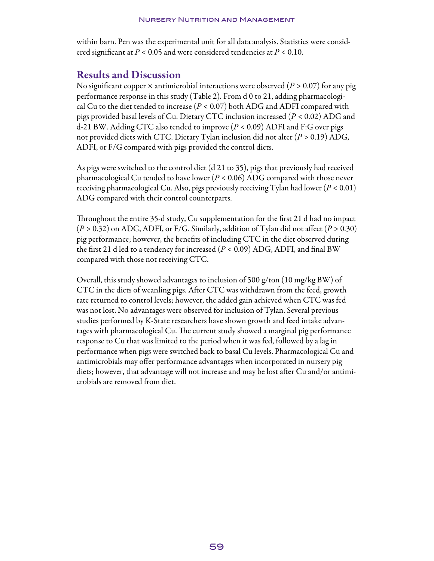within barn. Pen was the experimental unit for all data analysis. Statistics were considered significant at *P* < 0.05 and were considered tendencies at *P* < 0.10.

## Results and Discussion

No significant copper × antimicrobial interactions were observed (*P >* 0.07) for any pig performance response in this study (Table 2). From d 0 to 21, adding pharmacological Cu to the diet tended to increase (*P <* 0.07) both ADG and ADFI compared with pigs provided basal levels of Cu. Dietary CTC inclusion increased (*P <* 0.02) ADG and d-21 BW. Adding CTC also tended to improve (*P <* 0.09) ADFI and F:G over pigs not provided diets with CTC. Dietary Tylan inclusion did not alter (*P >* 0.19) ADG, ADFI, or F/G compared with pigs provided the control diets.

As pigs were switched to the control diet (d 21 to 35), pigs that previously had received pharmacological Cu tended to have lower (*P <* 0.06) ADG compared with those never receiving pharmacological Cu. Also, pigs previously receiving Tylan had lower (*P <* 0.01) ADG compared with their control counterparts.

Throughout the entire 35-d study, Cu supplementation for the first 21 d had no impact (*P >* 0.32) on ADG, ADFI, or F/G. Similarly, addition of Tylan did not affect (*P >* 0.30) pig performance; however, the benefits of including CTC in the diet observed during the first 21 d led to a tendency for increased (*P <* 0.09) ADG, ADFI, and final BW compared with those not receiving CTC.

Overall, this study showed advantages to inclusion of 500 g/ton (10 mg/kg BW) of CTC in the diets of weanling pigs. After CTC was withdrawn from the feed, growth rate returned to control levels; however, the added gain achieved when CTC was fed was not lost. No advantages were observed for inclusion of Tylan. Several previous studies performed by K-State researchers have shown growth and feed intake advantages with pharmacological Cu. The current study showed a marginal pig performance response to Cu that was limited to the period when it was fed, followed by a lag in performance when pigs were switched back to basal Cu levels. Pharmacological Cu and antimicrobials may offer performance advantages when incorporated in nursery pig diets; however, that advantage will not increase and may be lost after Cu and/or antimicrobials are removed from diet.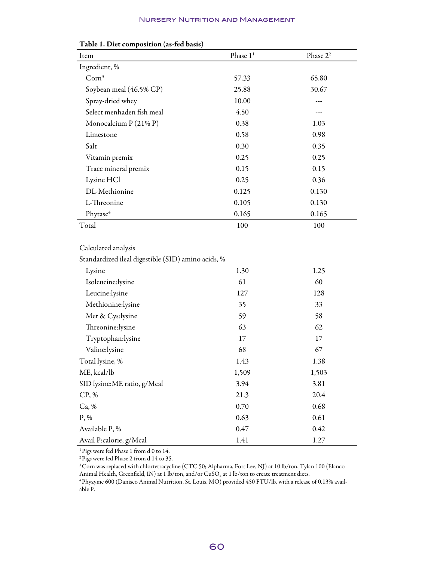#### Nursery Nutrition and Management

| Item                                               | Phase 1 <sup>1</sup> | Phase 2 <sup>2</sup> |  |  |  |  |  |
|----------------------------------------------------|----------------------|----------------------|--|--|--|--|--|
| Ingredient, %                                      |                      |                      |  |  |  |  |  |
| Corn <sup>3</sup>                                  | 57.33                | 65.80                |  |  |  |  |  |
| Soybean meal (46.5% CP)                            | 25.88                | 30.67                |  |  |  |  |  |
| Spray-dried whey                                   | 10.00                |                      |  |  |  |  |  |
| Select menhaden fish meal                          | 4.50                 |                      |  |  |  |  |  |
| Monocalcium $P(21\% P)$                            | 0.38                 | 1.03                 |  |  |  |  |  |
| Limestone                                          | 0.58                 | 0.98                 |  |  |  |  |  |
| Salt                                               | 0.30                 | 0.35                 |  |  |  |  |  |
| Vitamin premix                                     | 0.25                 | 0.25                 |  |  |  |  |  |
| Trace mineral premix                               | 0.15                 | 0.15                 |  |  |  |  |  |
| Lysine HCl                                         | 0.25                 | 0.36                 |  |  |  |  |  |
| DL-Methionine                                      | 0.125                | 0.130                |  |  |  |  |  |
| L-Threonine                                        | 0.105                | 0.130                |  |  |  |  |  |
| Phytase <sup>4</sup>                               | 0.165                | 0.165                |  |  |  |  |  |
| Total                                              | 100                  | 100                  |  |  |  |  |  |
|                                                    |                      |                      |  |  |  |  |  |
| Calculated analysis                                |                      |                      |  |  |  |  |  |
| Standardized ileal digestible (SID) amino acids, % |                      |                      |  |  |  |  |  |
| Lysine                                             | 1.30<br>1.25         |                      |  |  |  |  |  |

#### Table 1. Diet composition (as-fed basis)

| $\sigma$ and an and an angle of $\sigma$ and $\sigma$ and $\sigma$ all $\sigma$ and $\sigma$ |       |       |  |  |
|----------------------------------------------------------------------------------------------|-------|-------|--|--|
| Lysine                                                                                       | 1.30  | 1.25  |  |  |
| Isoleucine:lysine                                                                            | 61    | 60    |  |  |
| Leucine:lysine                                                                               | 127   | 128   |  |  |
| Methionine:lysine                                                                            | 35    | 33    |  |  |
| Met & Cys:lysine                                                                             | 59    | 58    |  |  |
| Threonine:lysine                                                                             | 63    | 62    |  |  |
| Tryptophan:lysine                                                                            | 17    | 17    |  |  |
| Valine:lysine                                                                                | 68    | 67    |  |  |
| Total lysine, %                                                                              | 1.43  | 1.38  |  |  |
| ME, kcal/lb                                                                                  | 1,509 | 1,503 |  |  |
| SID lysine:ME ratio, g/Mcal                                                                  | 3.94  | 3.81  |  |  |
| CP, %                                                                                        | 21.3  | 20.4  |  |  |
| Ca, %                                                                                        | 0.70  | 0.68  |  |  |
| $P, \%$                                                                                      | 0.63  | 0.61  |  |  |
| Available P, %                                                                               | 0.47  | 0.42  |  |  |
| Avail P:calorie, g/Mcal                                                                      | 1.41  | 1.27  |  |  |

 $^1\rm{Pigs}$  were fed Phase 1 from d 0 to 14.

2 Pigs were fed Phase 2 from d 14 to 35.

<sup>3</sup> Corn was replaced with chlortetracycline (CTC 50; Alpharma, Fort Lee, NJ) at 10 lb/ton, Tylan 100 (Elanco Animal Health, Greenfield, IN) at 1 lb/ton, and/or  $CuSO_4$  at 1 lb/ton to create treatment diets.

4 Phyzyme 600 (Danisco Animal Nutrition, St. Louis, MO) provided 450 FTU/lb, with a release of 0.13% available P.